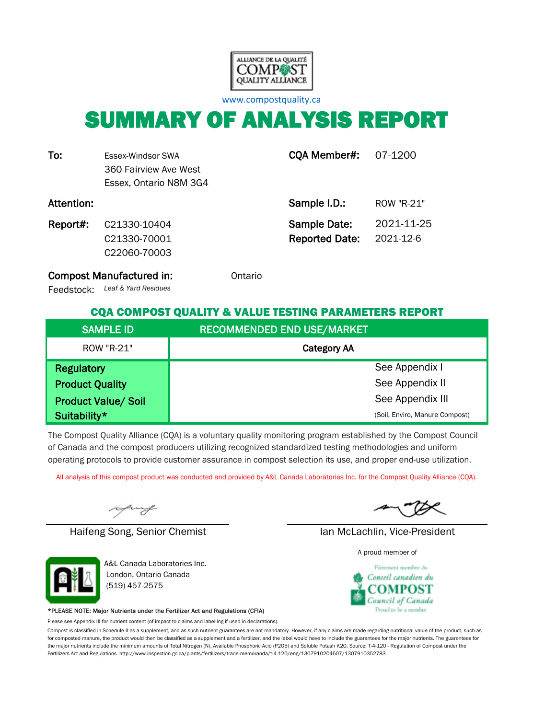

[w](http://www.compostquality.ca/)ww.compostquality.ca

# SUMMARY OF ANALYSIS REPORT

| To:        | Essex-Windsor SWA<br>360 Fairview Ave West<br>Essex, Ontario N8M 3G4 | CQA Member#:                          | 07-1200                 |
|------------|----------------------------------------------------------------------|---------------------------------------|-------------------------|
| Attention: |                                                                      | Sample I.D.:                          | ROW "R-21"              |
| Report#:   | C21330-10404<br>C21330-70001<br>C22060-70003                         | Sample Date:<br><b>Reported Date:</b> | 2021-11-25<br>2021-12-6 |

Compost Manufactured in: **Compost Manufactured in:** Ontario

*Leaf & Yard Residues* Feedstock:

#### CQA COMPOST QUALITY & VALUE TESTING PARAMETERS REPORT

| <b>SAMPLE ID</b>           | <b>RECOMMENDED END USE/MARKET</b> |
|----------------------------|-----------------------------------|
| ROW "R-21"                 | <b>Category AA</b>                |
| <b>Regulatory</b>          | See Appendix I                    |
| <b>Product Quality</b>     | See Appendix II                   |
| <b>Product Value/ Soil</b> | See Appendix III                  |
| Suitability*               | (Soil, Enviro, Manure Compost)    |

The Compost Quality Alliance (CQA) is a voluntary quality monitoring program established by the Compost Council of Canada and the compost producers utilizing recognized standardized testing methodologies and uniform operating protocols to provide customer assurance in compost selection its use, and proper end-use utilization.

All analysis of this compost product was conducted and provided by A&L Canada Laboratories Inc. for the Compost Quality Alliance (CQA).

uy

Haifeng Song, Senior Chemist Ian McLachlin, Vice-President



A&L Canada Laboratories Inc. London, Ontario Canada (519) 457-2575

#### \*PLEASE NOTE: Major Nutrients under the Fertilizer Act and Regulations (CFIA)

Please see Appendix III for nutrient content (of impact to claims and labelling if used in declarations).

Compost is classified in Schedule II as a supplement, and as such nutrient guarantees are not mandatory. However, if any claims are made regarding nutritional value of the product, such as for composted manure, the product would then be classified as a supplement and a fertilizer, and the label would have to include the guarantees for the major nutrients. The guarantees for the major nutrients include the minimum amounts of Total Nitrogen (N), Available Phosphoric Acid (P2O5) and Soluble Potash K2O. Source: T-4-120 - Regulation of Compost under the Fertilizers Act and Regulations. http://www.inspection.gc.ca/plants/fertilizers/trade-memoranda/t-4-120/eng/1307910204607/1307910352783

A proud member of

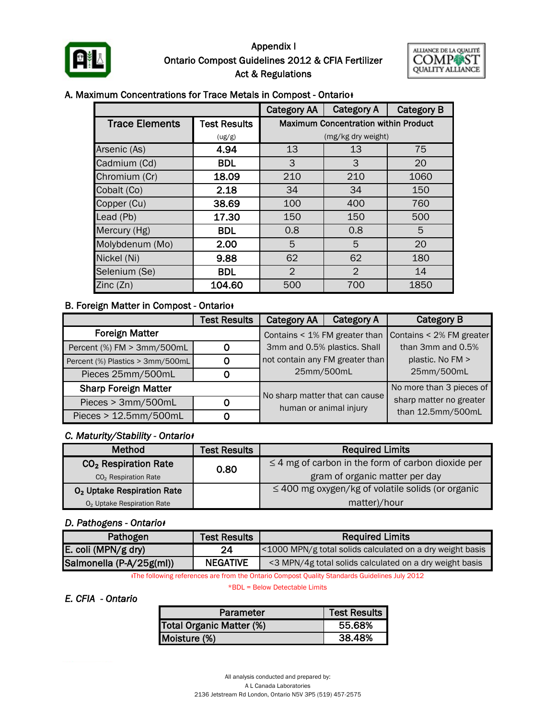

#### Appendix I Ontario Compost Guidelines 2012 & CFIA Fertilizer Act & Regulations



#### A. Maximum Concentrations for Trace Metals in Compost - Ontario<sup>+</sup>

|                       | <b>Category AA</b>  | <b>Category A</b> | <b>Category B</b>                           |      |  |
|-----------------------|---------------------|-------------------|---------------------------------------------|------|--|
| <b>Trace Elements</b> | <b>Test Results</b> |                   | <b>Maximum Concentration within Product</b> |      |  |
|                       | (ug/g)              |                   | (mg/kg dry weight)                          |      |  |
| Arsenic (As)          | 4.94                | 13                | 13                                          | 75   |  |
| Cadmium (Cd)          | <b>BDL</b>          | 3                 | 3                                           | 20   |  |
| Chromium (Cr)         | 18.09               | 210               | 1060                                        |      |  |
| Cobalt (Co)           | 2.18                | 34                | 34                                          | 150  |  |
| Copper (Cu)           | 38.69               | 100               | 400                                         | 760  |  |
| Lead (Pb)             | 17.30               | 150               | 150                                         | 500  |  |
| Mercury (Hg)          | <b>BDL</b>          | 0.8<br>0.8        |                                             | 5    |  |
| Molybdenum (Mo)       | 2.00                | 5<br>5<br>20      |                                             |      |  |
| Nickel (Ni)           | 9.88                | 62                | 62                                          | 180  |  |
| Selenium (Se)         | <b>BDL</b>          | $\overline{2}$    | 2                                           | 14   |  |
| Zinc(Zn)              | 104.60              | 500               | 700                                         | 1850 |  |

#### **B. Foreign Matter in Compost - Ontario**

|                                  | <b>Test Results</b> | <b>Category AA</b>                                       | <b>Category A</b> | <b>Category B</b>        |
|----------------------------------|---------------------|----------------------------------------------------------|-------------------|--------------------------|
| <b>Foreign Matter</b>            |                     | Contains < 1% FM greater than                            |                   | Contains < 2% FM greater |
| Percent (%) FM > 3mm/500mL       | 0                   | 3mm and 0.5% plastics. Shall                             |                   | than 3mm and 0.5%        |
| Percent (%) Plastics > 3mm/500mL | 0                   | not contain any FM greater than                          |                   | plastic. No FM >         |
| Pieces 25mm/500mL                |                     | 25mm/500mL                                               |                   | 25mm/500mL               |
| <b>Sharp Foreign Matter</b>      |                     |                                                          |                   | No more than 3 pieces of |
| Pieces > 3mm/500mL               | 0                   | No sharp matter that can cause<br>human or animal injury |                   | sharp matter no greater  |
| Pieces > 12.5mm/500mL<br>0       |                     |                                                          |                   | than 12.5mm/500mL        |

#### *C. Maturity/Stability - Ontarioᵻ*

| <b>Method</b>                          | <b>Test Results</b> | <b>Required Limits</b>                                  |  |  |
|----------------------------------------|---------------------|---------------------------------------------------------|--|--|
| CO <sub>2</sub> Respiration Rate       | 0.80                | $\leq$ 4 mg of carbon in the form of carbon dioxide per |  |  |
| CO <sub>2</sub> Respiration Rate       |                     | gram of organic matter per day                          |  |  |
| O <sub>2</sub> Uptake Respiration Rate |                     | $\leq$ 400 mg oxygen/kg of volatile solids (or organic  |  |  |
| O <sub>2</sub> Uptake Respiration Rate |                     | matter)/hour                                            |  |  |

#### *D. Pathogens - Ontarioᵻ*

| Pathogen                 | <b>Test Results</b> | <b>Required Limits</b>                                    |
|--------------------------|---------------------|-----------------------------------------------------------|
| E. coli (MPN/g dry)      | 24                  | <1000 MPN/g total solids calculated on a dry weight basis |
| Salmonella (P-A/25g(ml)) | <b>NEGATIVE</b>     | <3 MPN/4g total solids calculated on a dry weight basis   |

ᵻThe following references are from the Ontario Compost Quality Standards Guidelines July 2012

\*BDL = Below Detectable Limits

#### *E. CFIA - Ontario*

| Parameter                | <b>Test Results</b> |
|--------------------------|---------------------|
| Total Organic Matter (%) | 55.68%              |
| Moisture (%)             | 38.48%              |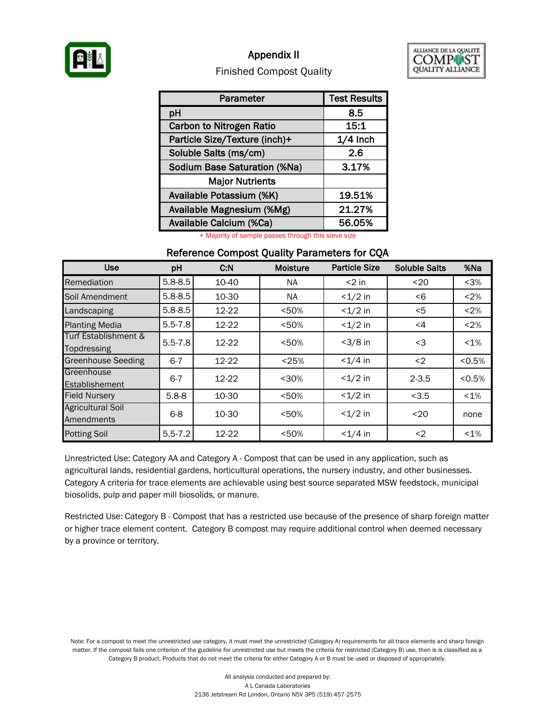

### Appendix II



#### Finished Compost Quality

| Parameter                           | <b>Test Results</b> |
|-------------------------------------|---------------------|
| pH                                  | 8.5                 |
| <b>Carbon to Nitrogen Ratio</b>     | 15:1                |
| Particle Size/Texture (inch)+       | $1/4$ Inch          |
| Soluble Salts (ms/cm)               | 2.6                 |
| <b>Sodium Base Saturation (%Na)</b> | 3.17%               |
| <b>Major Nutrients</b>              |                     |
| Available Potassium (%K)            | 19.51%              |
| Available Magnesium (%Mg)           | 21.27%              |
| Available Calcium (%Ca)             | 56.05%              |

+ Majority of sample passes through this sieve size

#### Reference Compost Quality Parameters for CQA

| <b>Use</b>                             | pH          | C.N   | <b>Moisture</b> | <b>Particle Size</b> | <b>Soluble Salts</b> | %Na     |
|----------------------------------------|-------------|-------|-----------------|----------------------|----------------------|---------|
| Remediation                            | $5.8 - 8.5$ | 10-40 | NA.             | $<$ 2 in             | $20$                 | $3%$    |
| Soil Amendment                         | $5.8 - 8.5$ | 10-30 | <b>NA</b>       | $<1/2$ in            | < 6                  | < 2%    |
| Landscaping                            | $5.8 - 8.5$ | 12-22 | < 50%           | $<1/2$ in            | $<$ 5                | < 2%    |
| <b>Planting Media</b>                  | $5.5 - 7.8$ | 12-22 | < 50%           | $<1/2$ in            | $\leq 4$             | < 2%    |
| Turf Establishment &<br>Topdressing    | $5.5 - 7.8$ | 12-22 | < 50%           | $<3/8$ in            | <3                   | $< 1\%$ |
| <b>Greenhouse Seeding</b>              | $6 - 7$     | 12-22 | < 25%           | $< 1/4$ in           | $2$                  | < 0.5%  |
| Greenhouse<br>Establishement           | $6 - 7$     | 12-22 | $30%$           | $<1/2$ in            | $2 - 3.5$            | < 0.5%  |
| <b>Field Nursery</b>                   | $5.8 - 8$   | 10-30 | < 50%           | $<1/2$ in            | < 3.5                | $< 1\%$ |
| <b>Agricultural Soil</b><br>Amendments | $6 - 8$     | 10-30 | < 50%           | $<1/2$ in            | $20$                 | none    |
| <b>Potting Soil</b>                    | $5.5 - 7.2$ | 12-22 | < 50%           | $<1/4$ in            | $2$                  | $< 1\%$ |

Unrestricted Use: Category AA and Category A - Compost that can be used in any application, such as agricultural lands, residential gardens, horticultural operations, the nursery industry, and other businesses. Category A criteria for trace elements are achievable using best source separated MSW feedstock, municipal biosolids, pulp and paper mill biosolids, or manure.

Restricted Use: Category B - Compost that has a restricted use because of the presence of sharp foreign matter or higher trace element content. Category B compost may require additional control when deemed necessary by a province or territory.

Note: For a compost to meet the unrestricted use category, it must meet the unrestricted (Category A) requirements for all trace elements and sharp foreign matter. If the compost fails one criterion of the guideline for unrestricted use but meets the criteria for restricted (Category B) use, then is is classified as a Category B product. Products that do not meet the criteria for either Category A or B must be used or disposed of appropriately.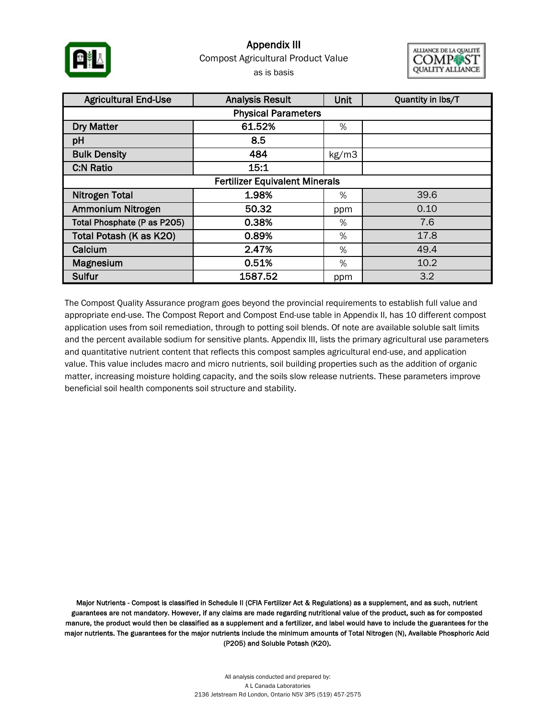

### Appendix III as is basis Compost Agricultural Product Value



| <b>Agricultural End-Use</b><br><b>Analysis Result</b> |         |       | Quantity in lbs/T |  |  |  |  |  |
|-------------------------------------------------------|---------|-------|-------------------|--|--|--|--|--|
| <b>Physical Parameters</b>                            |         |       |                   |  |  |  |  |  |
| <b>Dry Matter</b>                                     | 61.52%  | %     |                   |  |  |  |  |  |
| pH                                                    | 8.5     |       |                   |  |  |  |  |  |
| <b>Bulk Density</b>                                   | 484     | kg/m3 |                   |  |  |  |  |  |
| <b>C:N Ratio</b>                                      | 15:1    |       |                   |  |  |  |  |  |
| <b>Fertilizer Equivalent Minerals</b>                 |         |       |                   |  |  |  |  |  |
| <b>Nitrogen Total</b>                                 | 1.98%   | %     | 39.6              |  |  |  |  |  |
| Ammonium Nitrogen                                     | 50.32   | ppm   | 0.10              |  |  |  |  |  |
| Total Phosphate (P as P205)                           | 0.38%   | %     | 7.6               |  |  |  |  |  |
| Total Potash (K as K20)                               | 0.89%   | %     | 17.8              |  |  |  |  |  |
| Calcium                                               | 2.47%   | %     | 49.4              |  |  |  |  |  |
| Magnesium                                             | 0.51%   | %     | 10.2              |  |  |  |  |  |
| Sulfur                                                | 1587.52 | ppm   | 3.2               |  |  |  |  |  |

The Compost Quality Assurance program goes beyond the provincial requirements to establish full value and appropriate end-use. The Compost Report and Compost End-use table in Appendix II, has 10 different compost application uses from soil remediation, through to potting soil blends. Of note are available soluble salt limits and the percent available sodium for sensitive plants. Appendix III, lists the primary agricultural use parameters and quantitative nutrient content that reflects this compost samples agricultural end-use, and application value. This value includes macro and micro nutrients, soil building properties such as the addition of organic matter, increasing moisture holding capacity, and the soils slow release nutrients. These parameters improve beneficial soil health components soil structure and stability.

Major Nutrients - Compost is classified in Schedule II (CFIA Fertilizer Act & Regulations) as a supplement, and as such, nutrient guarantees are not mandatory. However, if any claims are made regarding nutritional value of the product, such as for composted manure, the product would then be classified as a supplement and a fertilizer, and label would have to include the guarantees for the major nutrients. The guarantees for the major nutrients include the minimum amounts of Total Nitrogen (N), Available Phosphoric Acid (P2O5) and Soluble Potash (K2O).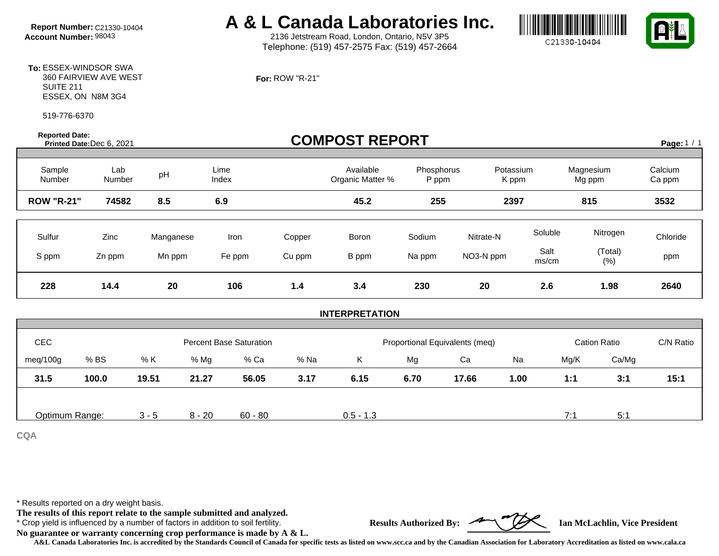# **Report Number:** C21330-10404 **A & L Canada Laboratories Inc.**<br>Account Number: 98043 **A & L** 2136 Jetstream Road, London, Ontario, N5V 3P5

2136 Jetstream Road, London, Ontario, N5V 3P5 Telephone: (519) 457-2575 Fax: (519) 457-2664





**To:** ESSEX-WINDSOR SWA 360 FAIRVIEW AVE WEST SUITE 211 ESSEX, ON N8M 3G4

519-776-6370

**Reported Date:** 

#### **For:** ROW "R-21"

| <b>Reported Date:</b> | Printed Date: Dec 6, 2021 |           |                                |        | <b>COMPOST REPORT</b>         |                                |                    |               |                     | Page: 1 / 1       |
|-----------------------|---------------------------|-----------|--------------------------------|--------|-------------------------------|--------------------------------|--------------------|---------------|---------------------|-------------------|
| Sample<br>Number      | Lab<br>Number             | pH        | Lime<br>Index                  |        | Available<br>Organic Matter % | Phosphorus<br>P ppm            | Potassium<br>K ppm |               | Magnesium<br>Mg ppm | Calcium<br>Ca ppm |
| <b>ROW "R-21"</b>     | 74582                     | 8.5       | 6.9                            |        | 45.2                          | 255                            | 2397               |               | 815                 | 3532              |
| Sulfur                | Zinc                      | Manganese | Iron                           | Copper | Boron                         | Sodium                         | Nitrate-N          | Soluble       | Nitrogen            | Chloride          |
| S ppm                 | Zn ppm                    | Mn ppm    | Fe ppm                         | Cu ppm | B ppm                         | Na ppm                         | NO3-N ppm          | Salt<br>ms/cm | (Total)<br>(% )     | ppm               |
| 228                   | 14.4                      | 20        | 106                            | $1.4$  | 3.4                           | 230                            | 20                 | 2.6           | 1.98                | 2640              |
|                       |                           |           |                                |        | <b>INTERPRETATION</b>         |                                |                    |               |                     |                   |
|                       |                           |           |                                |        |                               |                                |                    |               |                     |                   |
| CEC                   |                           |           | <b>Percent Base Saturation</b> |        |                               | Proportional Equivalents (meq) |                    |               | <b>Cation Ratio</b> | C/N Ratio         |
| meg/100g              | % BS                      | % K       | % Mg<br>% Ca                   | % Na   | K.                            | Mg                             | Ca                 | Na            | Ca/Mg<br>Mg/K       |                   |
| 31.5                  | 100.0                     | 19.51     | 21.27<br>56.05                 | 3.17   | 6.15                          | 6.70                           | 17.66              | 1.00          | 3:1<br>1:1          | 15:1              |

Optimum Range:  $3 - 5$  8 - 20 60 - 80 0.5 - 1.3 7:1 7:1 5:1

**CQA**

\* Results reported on a dry weight basis.

**The results of this report relate to the sample submitted and analyzed.** 

\* Crop yield is influenced by a number of factors in addition to soil fertility. **Results Authorized By: Ian McLachlin, Vice President**



**No guarantee or warranty concerning crop performance is made by A & L.**

**A&L Canada Laboratories Inc. is accredited by the Standards Council of Canada for specific tests as listed on www.scc.ca and by the Canadian Association for Laboratory Accreditation as listed on www.cala.ca**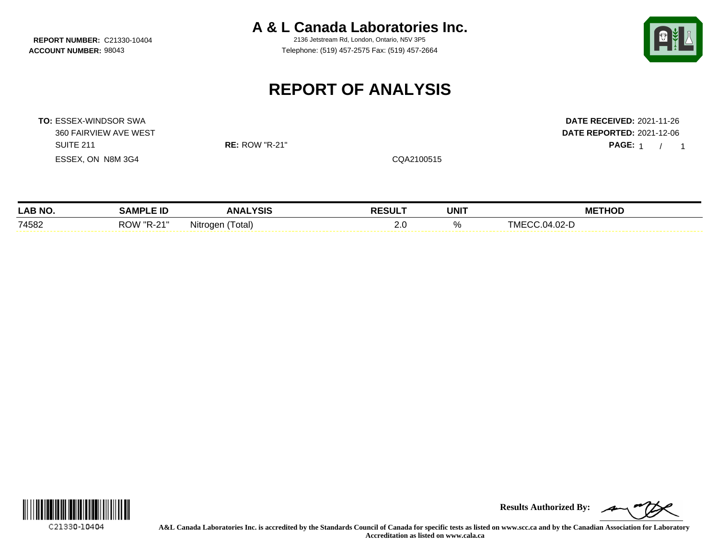**REPORT NUMBER: C21330-10404** 

**A & L Canada Laboratories Inc.**<br>2136 Jetstream Rd. London, Ontario, N5V 3P5

**ACCOUNT NUMBER:** 98043 Telephone: (519) 457-2575 Fax: (519) 457-2664



PAGE: 1 / 1

## **REPORT OF ANALYSIS**

**TO:** ESSEX-WINDSOR SWA **DATE RECEIVED:** 2021-11-26 360 FAIRVIEW AVE WEST **DATE REPORTED:** 2021-12-06 SUITE 211 **RE:** ROW "R-21" **PAGE:** 1 / ESSEX, ON N8M 3G4 COA2100515

| <b>LAB NO</b> | LE ID<br>:AMPم             | .YSIS<br>ANA           | <b>RESULT</b> | <b>UNIT</b> | THOD<br>МE               |
|---------------|----------------------------|------------------------|---------------|-------------|--------------------------|
| 74582         | $AA^{\prime\prime}$<br>- - | .<br>otal)<br>Nitroaen | 2.J           | n/          | $^{\circ}$ 14 $^{\circ}$ |



**Results Authorized By:**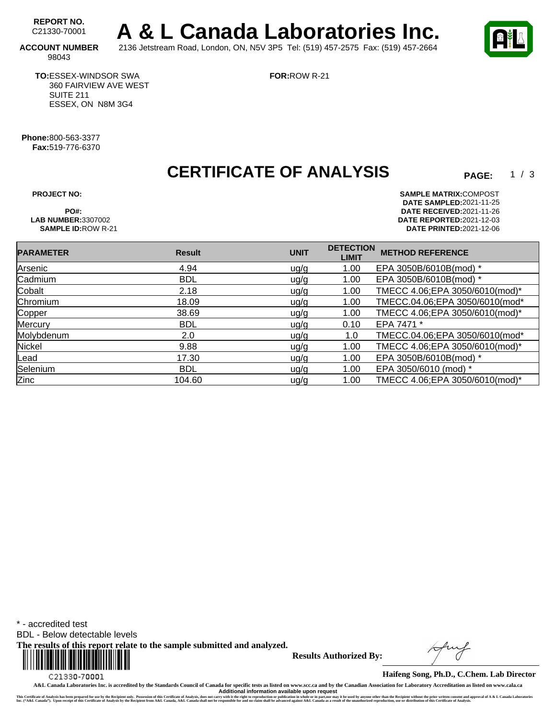REPORT NO.<br>C21330-70001 A & L Canada Laboratories Inc. **ACCOUNT NUMBER** 2136 Jetstream Road, London, ON, N5V 3P5 Tel: (519) 457-2575 Fax: (519) 457-2664

**FOR:**ROW R-21

98043

**TO:**ESSEX-WINDSOR SWA 360 FAIRVIEW AVE WEST SUITE 211 ESSEX, ON N8M 3G4

**Phone:**800-563-3377 **Fax:**519-776-6370

**CERTIFICATE OF ANALYSIS** 

 $1 / 3$ 

**PROJECT NO: SAMPLE MATRIX:** COMPOST **DATE SAMPLED:** 2021-11-25 **PO#: DATE RECEIVED:**2021-11-26 **LAB NUMBER:**3307002 **DATE REPORTED:**2021-12-03 **SAMPLE ID:**ROW R-21 **DATE PRINTED:**2021-12-06

| <b>PARAMETER</b> | <b>Result</b> | <b>UNIT</b> | <b>DETECTION</b><br><b>LIMIT</b> | <b>METHOD REFERENCE</b>         |
|------------------|---------------|-------------|----------------------------------|---------------------------------|
| Arsenic          | 4.94          | u g/g       | 1.00                             | EPA 3050B/6010B(mod) *          |
| Cadmium          | <b>BDL</b>    | uq/q        | 1.00                             | EPA 3050B/6010B(mod) *          |
| Cobalt           | 2.18          | ug/g        | 1.00                             | TMECC 4.06; EPA 3050/6010(mod)* |
| Chromium         | 18.09         | ug/g        | 1.00                             | TMECC.04.06;EPA 3050/6010(mod*  |
| Copper           | 38.69         | ug/g        | 1.00                             | TMECC 4.06;EPA 3050/6010(mod)*  |
| Mercury          | <b>BDL</b>    | ug/g        | 0.10                             | EPA 7471 *                      |
| Molybdenum       | 2.0           | uq/q        | 1.0                              | TMECC.04.06;EPA 3050/6010(mod*  |
| Nickel           | 9.88          | ug/g        | 1.00                             | TMECC 4.06; EPA 3050/6010(mod)* |
| Lead             | 17.30         | ug/g        | 1.00                             | EPA 3050B/6010B(mod) *          |
| Selenium         | <b>BDL</b>    | ug/g        | 1.00                             | EPA 3050/6010 (mod) *           |
| Zinc             | 104.60        | ug/g        | 1.00                             | TMECC 4.06;EPA 3050/6010(mod)*  |

\* - accredited test

BDL - Below detectable levels

**The results of this report relate to the sample submitted and analyzed.** 



**Results Authorized By:**

**Haifeng Song, Ph.D., C.Chem. Lab Director**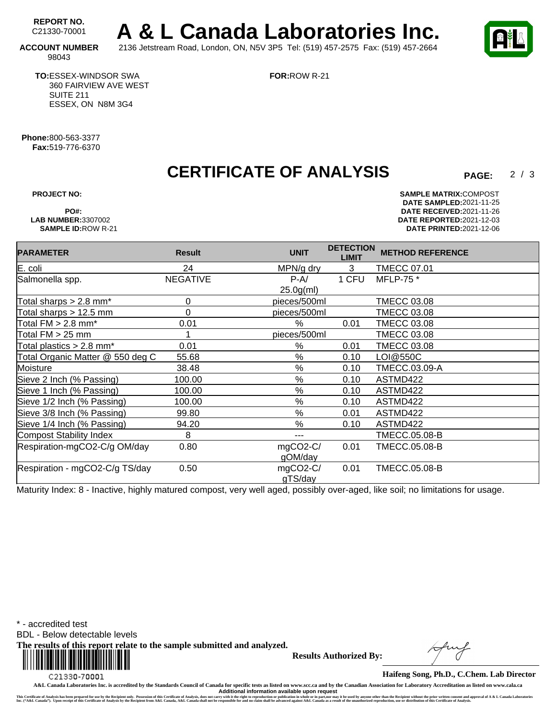REPORT NO.<br>C21330-70001 A & L Canada Laboratories Inc. **ACCOUNT NUMBER** 2136 Jetstream Road, London, ON, N5V 3P5 Tel: (519) 457-2575 Fax: (519) 457-2664



 $2/3$ 

98043

**TO:**ESSEX-WINDSOR SWA 360 FAIRVIEW AVE WEST SUITE 211 ESSEX, ON N8M 3G4

**FOR:**ROW R-21

**Phone:**800-563-3377 **Fax:**519-776-6370

## **CERTIFICATE OF ANALYSIS**

**PROJECT NO: SAMPLE MATRIX:** COMPOST **DATE SAMPLED:** 2021-11-25 **PO#: DATE RECEIVED:**2021-11-26 **LAB NUMBER:**3307002 **DATE REPORTED:**2021-12-03 **SAMPLE ID:**ROW R-21 **DATE PRINTED:**2021-12-06

| <b>PARAMETER</b>                       | <b>Result</b>   | <b>UNIT</b>  | <b>DETECTION</b><br><b>LIMIT</b> | <b>METHOD REFERENCE</b> |
|----------------------------------------|-----------------|--------------|----------------------------------|-------------------------|
| E. coli                                | 24              | MPN/g dry    | 3                                | <b>TMECC 07.01</b>      |
| Salmonella spp.                        | <b>NEGATIVE</b> | $P-A/$       | 1 CFU                            | MFLP-75 *               |
|                                        |                 | $25.0g$ (ml) |                                  |                         |
| Total sharps $> 2.8$ mm <sup>*</sup>   | 0               | pieces/500ml |                                  | <b>TMECC 03.08</b>      |
| Total sharps $> 12.5$ mm               | 0               | pieces/500ml |                                  | <b>TMECC 03.08</b>      |
| Total $FM > 2.8$ mm <sup>*</sup>       | 0.01            | $\%$         | 0.01                             | <b>TMECC 03.08</b>      |
| Total $FM > 25$ mm                     |                 | pieces/500ml |                                  | <b>TMECC 03.08</b>      |
| Total plastics $> 2.8$ mm <sup>*</sup> | 0.01            | $\%$         | 0.01                             | <b>TMECC 03.08</b>      |
| Total Organic Matter @ 550 deg C       | 55.68           | $\%$         | 0.10                             | LOI@550C                |
| Moisture                               | 38.48           | %            | 0.10                             | TMECC.03.09-A           |
| Sieve 2 Inch (% Passing)               | 100.00          | %            | 0.10                             | ASTMD422                |
| Sieve 1 Inch (% Passing)               | 100.00          | $\%$         | 0.10                             | ASTMD422                |
| Sieve 1/2 Inch (% Passing)             | 100.00          | $\%$         | 0.10                             | ASTMD422                |
| Sieve 3/8 Inch (% Passing)             | 99.80           | %            | 0.01                             | ASTMD422                |
| Sieve 1/4 Inch (% Passing)             | 94.20           | %            | 0.10                             | ASTMD422                |
| Compost Stability Index                | 8               | ---          |                                  | <b>TMECC.05.08-B</b>    |
| Respiration-mgCO2-C/g OM/day           | 0.80            | mgCO2-C/     | 0.01                             | TMECC.05.08-B           |
|                                        |                 | gOM/day      |                                  |                         |
| Respiration - mgCO2-C/g TS/day         | 0.50            | mgCO2-C/     | 0.01                             | <b>TMECC.05.08-B</b>    |
|                                        |                 | gTS/day      |                                  |                         |

Maturity Index: 8 - Inactive, highly matured compost, very well aged, possibly over-aged, like soil; no limitations for usage.

\* - accredited test

BDL - Below detectable levels

**The results of this report relate to the sample submitted and analyzed.** 



**Results Authorized By:**

**Haifeng Song, Ph.D., C.Chem. Lab Director**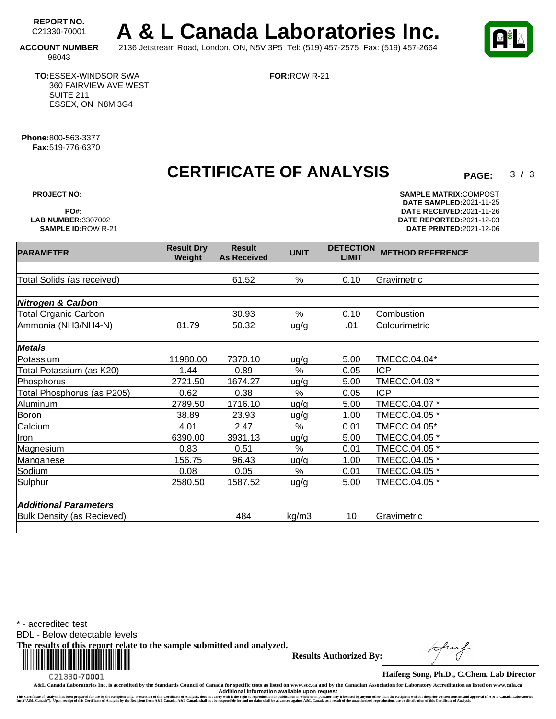REPORT NO.<br>C21330-70001 A & L Canada Laboratories Inc. **ACCOUNT NUMBER** 2136 Jetstream Road, London, ON, N5V 3P5 Tel: (519) 457-2575 Fax: (519) 457-2664

**FOR:**ROW R-21



 $3/3$ 

98043

**TO:**ESSEX-WINDSOR SWA 360 FAIRVIEW AVE WEST SUITE 211 ESSEX, ON N8M 3G4

**Phone:**800-563-3377 **Fax:**519-776-6370

**CERTIFICATE OF ANALYSIS** 

**PROJECT NO: SAMPLE MATRIX:** COMPOST **DATE SAMPLED:** 2021-11-25 **PO#: DATE RECEIVED:**2021-11-26 **LAB NUMBER:**3307002 **DATE REPORTED:**2021-12-03 **SAMPLE ID:**ROW R-21 **DATE PRINTED:**2021-12-06

| <b>PARAMETER</b>             | <b>Result Dry</b><br>Weight | <b>Result</b><br><b>As Received</b> | <b>UNIT</b> | <b>DETECTION</b><br><b>LIMIT</b> | <b>METHOD REFERENCE</b> |
|------------------------------|-----------------------------|-------------------------------------|-------------|----------------------------------|-------------------------|
|                              |                             |                                     |             |                                  |                         |
| Total Solids (as received)   |                             | 61.52                               | %           | 0.10                             | Gravimetric             |
|                              |                             |                                     |             |                                  |                         |
| <b>Nitrogen &amp; Carbon</b> |                             |                                     |             |                                  |                         |
| <b>Total Organic Carbon</b>  |                             | 30.93                               | %           | 0.10                             | Combustion              |
| Ammonia (NH3/NH4-N)          | 81.79                       | 50.32                               | uq/q        | .01                              | Colourimetric           |
|                              |                             |                                     |             |                                  |                         |
| <b>Metals</b>                |                             |                                     |             |                                  |                         |
| Potassium                    | 11980.00                    | 7370.10                             | uq/q        | 5.00                             | TMECC.04.04*            |
| Total Potassium (as K20)     | 1.44                        | 0.89                                | %           | 0.05                             | <b>ICP</b>              |
| Phosphorus                   | 2721.50                     | 1674.27                             | ug/g        | 5.00                             | TMECC.04.03 *           |
| Total Phosphorus (as P205)   | 0.62                        | 0.38                                | $\%$        | 0.05                             | <b>ICP</b>              |
| Aluminum                     | 2789.50                     | 1716.10                             | ug/g        | 5.00                             | TMECC.04.07 *           |
| <b>Boron</b>                 | 38.89                       | 23.93                               | u g/g       | 1.00                             | TMECC.04.05 *           |
| Calcium                      | 4.01                        | 2.47                                | %           | 0.01                             | TMECC.04.05*            |
| Iron                         | 6390.00                     | 3931.13                             | uq/q        | 5.00                             | TMECC.04.05 *           |
| Magnesium                    | 0.83                        | 0.51                                | %           | 0.01                             | TMECC.04.05 *           |
| Manganese                    | 156.75                      | 96.43                               | ug/g        | 1.00                             | TMECC.04.05 *           |
| Sodium                       | 0.08                        | 0.05                                | $\%$        | 0.01                             | TMECC.04.05 *           |
| Sulphur                      | 2580.50                     | 1587.52                             | ug/g        | 5.00                             | TMECC.04.05 *           |
|                              |                             |                                     |             |                                  |                         |
| <b>Additional Parameters</b> |                             |                                     |             |                                  |                         |
| Bulk Density (as Recieved)   |                             | 484                                 | kg/m3       | 10                               | Gravimetric             |
|                              |                             |                                     |             |                                  |                         |

\* - accredited test

BDL - Below detectable levels

**The results of this report relate to the sample submitted and analyzed.** 



**Results Authorized By:**

**Haifeng Song, Ph.D., C.Chem. Lab Director**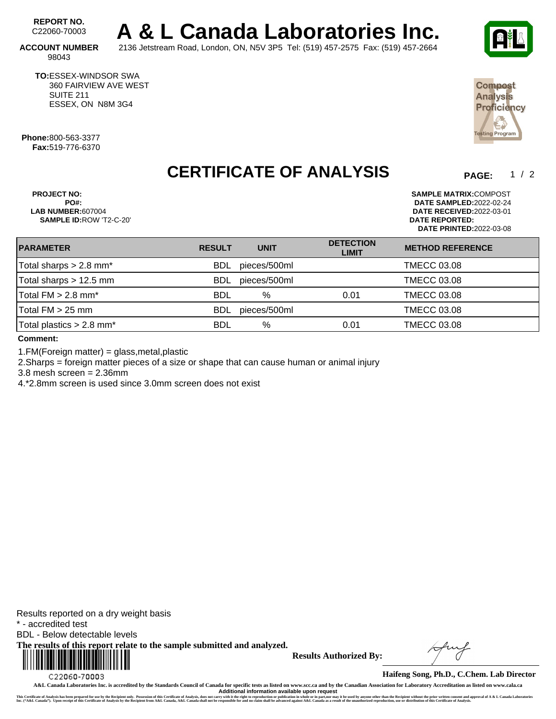REPORT NO.<br>C22060-70003 A & L Canada Laboratories Inc.

**ACCOUNT NUMBER** 2136 Jetstream Road, London, ON, N5V 3P5 Tel: (519) 457-2575 Fax: (519) 457-2664 98043

**TO:**ESSEX-WINDSOR SWA 360 FAIRVIEW AVE WEST SUITE 211 ESSEX, ON N8M 3G4

**Phone:**800-563-3377 **Fax:**519-776-6370

## **CERTIFICATE OF ANALYSIS**

**PROJECT NO: SAMPLE MATRIX:**COMPOST **PO#: DATE SAMPLED:**2022-02-24 **SAMPLE ID:**ROW 'T2-C-20' **DATE REPORTED:**

**LAB NUMBER:**607004 **DATE RECEIVED:**2022-03-01 **DATE PRINTED:**2022-03-08

| <b>PARAMETER</b>                       | <b>RESULT</b> | <b>UNIT</b>  | <b>DETECTION</b><br><b>LIMIT</b> | <b>METHOD REFERENCE</b> |  |
|----------------------------------------|---------------|--------------|----------------------------------|-------------------------|--|
| Total sharps $> 2.8$ mm <sup>*</sup>   | <b>BDL</b>    | pieces/500ml |                                  | <b>TMECC 03.08</b>      |  |
| Total sharps $> 12.5$ mm               | <b>BDL</b>    | pieces/500ml |                                  | <b>TMECC 03.08</b>      |  |
| Total $FM > 2.8$ mm <sup>*</sup>       | <b>BDL</b>    | $\%$         | 0.01                             | <b>TMECC 03.08</b>      |  |
| Total $FM > 25$ mm                     | <b>BDL</b>    | pieces/500ml |                                  | <b>TMECC 03.08</b>      |  |
| Total plastics $> 2.8$ mm <sup>*</sup> | BDL           | %            | 0.01                             | <b>TMECC 03.08</b>      |  |
|                                        |               |              |                                  |                         |  |

**Comment:**

1.FM(Foreign matter) = glass,metal,plastic

2.Sharps = foreign matter pieces of a size or shape that can cause human or animal injury

3.8 mesh screen = 2.36mm

4.\*2.8mm screen is used since 3.0mm screen does not exist

Results reported on a dry weight basis \* - accredited test BDL - Below detectable levels **The results of this report relate to the sample submitted and analyzed.**  

C22060-70003

**Results Authorized By:**





Compost **Analysis** Proficiency

Ě

**Haifeng Song, Ph.D., C.Chem. Lab Director**